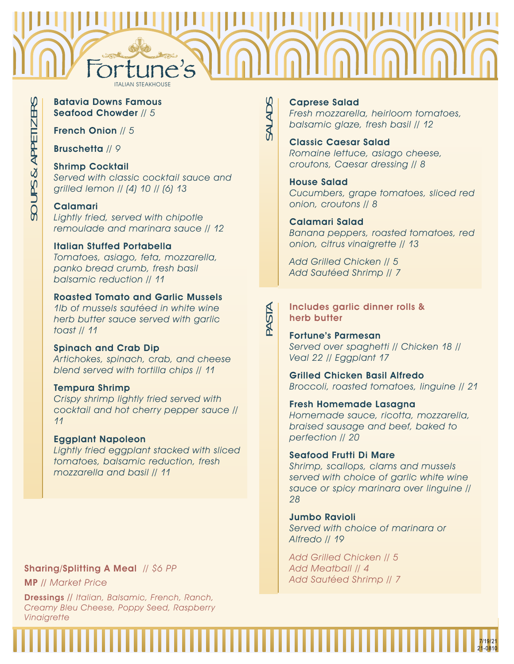

SALADS

# Batavia Downs Famous Seafood Chowder // 5

French Onion // 5

Bruschetta // 9

# Shrimp Cocktail

Served with classic cocktail sauce and grilled lemon // (4) 10 // (6) 13

# Calamari

Lightly fried, served with chipotle remoulade and marinara sauce // 12

# Italian Stuffed Portabella

Tomatoes, asiago, feta, mozzarella, panko bread crumb, fresh basil balsamic reduction // 11

# Roasted Tomato and Garlic Mussels

1lb of mussels sautéed in white wine herb butter sauce served with garlic toast // 11

# Spinach and Crab Dip

Artichokes, spinach, crab, and cheese blend served with tortilla chips // 11

# Tempura Shrimp

Crispy shrimp lightly fried served with cocktail and hot cherry pepper sauce // 11

# Eggplant Napoleon

Lightly fried eggplant stacked with sliced tomatoes, balsamic reduction, fresh mozzarella and basil // 11

# Sharing/Splitting A Meal // \$6 PP

MP // Market Price

Dressings // Italian, Balsamic, French, Ranch, Creamy Bleu Cheese, Poppy Seed, Raspberry **Vinaigrette** 

# Caprese Salad

Fresh mozzarella, heirloom tomatoes, balsamic glaze, fresh basil // 12

# Classic Caesar Salad Romaine lettuce, asiago cheese, croutons, Caesar dressing // 8

# House Salad

Cucumbers, grape tomatoes, sliced red onion, croutons // 8

# Calamari Salad

Banana peppers, roasted tomatoes, red onion, citrus vinaigrette // 13

Add Grilled Chicken // 5 Add Sautéed Shrimp // 7

# Includes garlic dinner rolls & herb butter

Fortune's Parmesan Served over spaghetti // Chicken 18 // Veal 22 // Eggplant 17

Grilled Chicken Basil Alfredo Broccoli, roasted tomatoes, linguine // 21

Fresh Homemade Lasagna Homemade sauce, ricotta, mozzarella, braised sausage and beef, baked to perfection // 20

# Seafood Frutti Di Mare

Shrimp, scallops, clams and mussels served with choice of garlic white wine sauce or spicy marinara over linguine // 28

Jumbo Ravioli Served with choice of marinara or Alfredo // 19

Add Grilled Chicken // 5 Add Meatball // 4 Add Sautéed Shrimp // 7



PASTA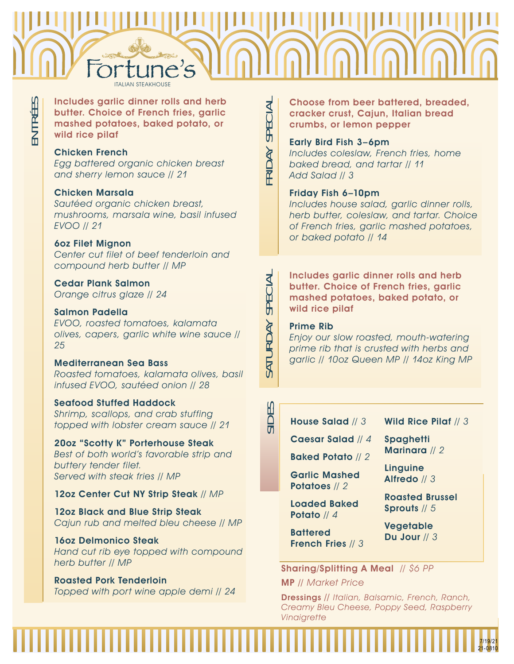# Fortune's

FRIDAY SPECIAL

RIDAY

SPECIAL

ENTR ÉES Includes garlic dinner rolls and herb butter. Choice of French fries, garlic mashed potatoes, baked potato, or wild rice pilaf

# Chicken French

Egg battered organic chicken breast and sherry lemon sauce // 21

# Chicken Marsala

Sautéed organic chicken breast, mushrooms, marsala wine, basil infused EVOO // 21

# 6oz Filet Mignon

Center cut filet of beef tenderloin and compound herb butter // MP

Cedar Plank Salmon Orange citrus glaze // 24

# Salmon Padella

EVOO, roasted tomatoes, kalamata olives, capers, garlic white wine sauce // 25

# Mediterranean Sea Bass

Roasted tomatoes, kalamata olives, basil infused EVOO, sautéed onion // 28

# Seafood Stuffed Haddock

Shrimp, scallops, and crab stuffing topped with lobster cream sauce // 21

20oz "Scotty K" Porterhouse Steak Best of both world's favorable strip and buttery tender filet. Served with steak fries // MP

# 12oz Center Cut NY Strip Steak // MP

12oz Black and Blue Strip Steak Cajun rub and melted bleu cheese // MP

16oz Delmonico Steak Hand cut rib eye topped with compound herb butter // MP

# Roasted Pork Tenderloin

Topped with port wine apple demi // 24

Choose from beer battered, breaded, cracker crust, Cajun, Italian bread crumbs, or lemon pepper

# Early Bird Fish 3–6pm

Includes coleslaw, French fries, home baked bread, and tartar // 11 Add Salad // 3

# Friday Fish 6–10pm

Includes house salad, garlic dinner rolls, herb butter, coleslaw, and tartar. Choice of French fries, garlic mashed potatoes, or baked potato // 14

Includes garlic dinner rolls and herb butter. Choice of French fries, garlic mashed potatoes, baked potato, or wild rice pilaf

# Prime Rib

Enjoy our slow roasted, mouth-watering prime rib that is crusted with herbs and garlic // 10oz Queen MP // 14oz King MP

House Salad // 3

Caesar Salad // 4

Baked Potato // 2

Garlic Mashed Potatoes // 2

Loaded Baked Potato // 4

Wild Rice Pilaf // 3

**Spaghetti** Marinara // 2

**Linguine** Alfredo // 3

Roasted Brussel Sprouts // 5

> 7/19/21 21-0810

**Battered** French Fries // 3 Vegetable Du Jour // 3

# Sharing/Splitting A Meal // \$6 PP

MP // Market Price

Dressings // Italian, Balsamic, French, Ranch, Creamy Bleu Cheese, Poppy Seed, Raspberry Vinaigrette



SID<sub>.</sub>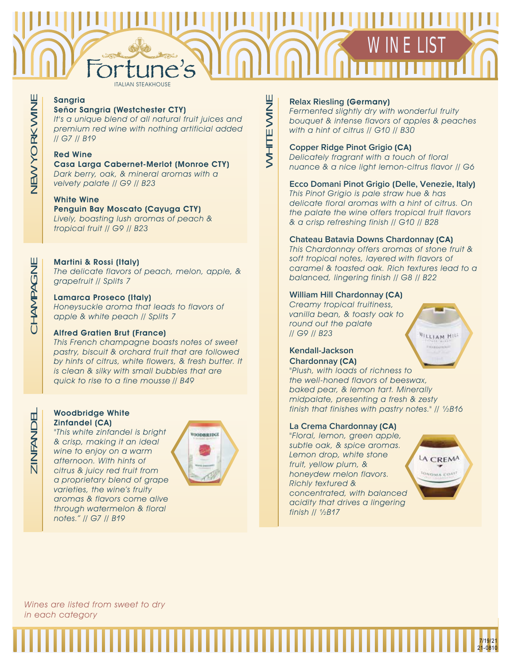# Fortune's WINE LIST

WHITE WINE

WHITE WINE

## Sangria Señor Sangria (Westchester CTY)

It's a unique blend of all natural fruit juices and premium red wine with nothing artificial added // G7 // B19

# Red Wine

Casa Larga Cabernet-Merlot (Monroe CTY) Dark berry, oak, & mineral aromas with a velvety palate // G9 // B23

# White Wine

Penguin Bay Moscato (Cayuga CTY) Lively, boasting lush aromas of peach & tropical fruit // G9 // B23

# Martini & Rossi (Italy)

The delicate flavors of peach, melon, apple, & grapefruit // Splits 7 Ĭ

# Lamarca Proseco (Italy)

Honeysuckle aroma that leads to flavors of apple & white peach // Splits 7

# Alfred Gratien Brut (France)

This French champagne boasts notes of sweet pastry, biscuit & orchard fruit that are followed by hints of citrus, white flowers, & fresh butter. It is clean & silky with small bubbles that are quick to rise to a fine mousse // B49

# Woodbridge White Zinfandel (CA)

"This white zinfandel is bright & crisp, making it an ideal wine to enjoy on a warm afternoon. With hints of citrus & juicy red fruit from a proprietary blend of grape varieties, the wine's fruity aromas & flavors come alive through watermelon & floral notes." // G7 // B19



# **Relax Riesling** (Germany)

Fermented slightly dry with wonderful fruity bouquet & intense flavors of apples & peaches with a hint of citrus // G10 // B30

# **Copper Ridge Pinot Grigio** (CA)

Delicately fragrant with a touch of floral nuance & a nice light lemon-citrus flavor // G6

# **Ecco Domani Pinot Grigio** (**Delle, Venezie, Italy**)

This Pinot Grigio is pale straw hue & has delicate floral aromas with a hint of citrus. On the palate the wine offers tropical fruit flavors & a crisp refreshing finish // G10 // B28

# **Chateau Batavia Downs Chardonnay** (CA)

This Chardonnay offers aromas of stone fruit & soft tropical notes, layered with flavors of caramel & toasted oak. Rich textures lead to a balanced, lingering finish // G8 // B22

# **William Hill Chardonnay** (CA)

Creamy tropical fruitiness, vanilla bean, & toasty oak to round out the palate // G9 // B23

# **Kendall-Jackson Chardonnay** (CA)

"Plush, with loads of richness to the well-honed flavors of beeswax, baked pear, & lemon tart. Minerally midpalate, presenting a fresh & zesty finish that finishes with pastry notes." // ½B16

# **La Crema Chardonnay** (CA)

"Floral, lemon, green apple, subtle oak, & spice aromas. Lemon drop, white stone fruit, yellow plum, & honeydew melon flavors. Richly textured & concentrated, with balanced acidity that drives a lingering finish // ½B17



**VILLIAM HILL** 

7/19/21 21-0810

Wines are listed from sweet to dry in each category

CHAMPAGNE CHAMPAGNE

ZINFANDEL

ZINFANDEL